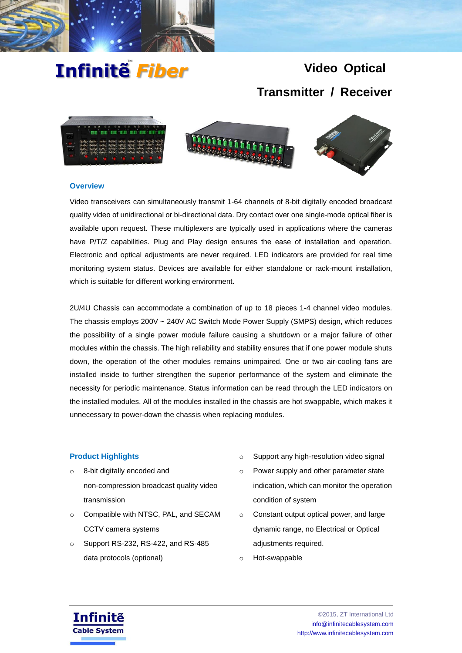

# Infinitễ *Fiber*

## **Video Optical Transmitter / Receiver**



## **Overview**

Video transceivers can simultaneously transmit 1-64 channels of 8-bit digitally encoded broadcast quality video of unidirectional or bi-directional data. Dry contact over one single-mode optical fiber is available upon request. These multiplexers are typically used in applications where the cameras have P/T/Z capabilities. Plug and Play design ensures the ease of installation and operation. Electronic and optical adjustments are never required. LED indicators are provided for real time monitoring system status. Devices are available for either standalone or rack-mount installation, which is suitable for different working environment.

2U/4U Chassis can accommodate a combination of up to 18 pieces 1-4 channel video modules. The chassis employs 200V ~ 240V AC Switch Mode Power Supply (SMPS) design, which reduces the possibility of a single power module failure causing a shutdown or a major failure of other modules within the chassis. The high reliability and stability ensures that if one power module shuts down, the operation of the other modules remains unimpaired. One or two air-cooling fans are installed inside to further strengthen the superior performance of the system and eliminate the necessity for periodic maintenance. Status information can be read through the LED indicators on the installed modules. All of the modules installed in the chassis are hot swappable, which makes it unnecessary to power-down the chassis when replacing modules.

## **Product Highlights**

- o 8-bit digitally encoded and non-compression broadcast quality video transmission
- o Compatible with NTSC, PAL, and SECAM CCTV camera systems
- o Support RS-232, RS-422, and RS-485 data protocols (optional)
- o Support any high-resolution video signal
- o Power supply and other parameter state indication, which can monitor the operation condition of system
- o Constant output optical power, and large dynamic range, no Electrical or Optical adjustments required.
- o Hot-swappable

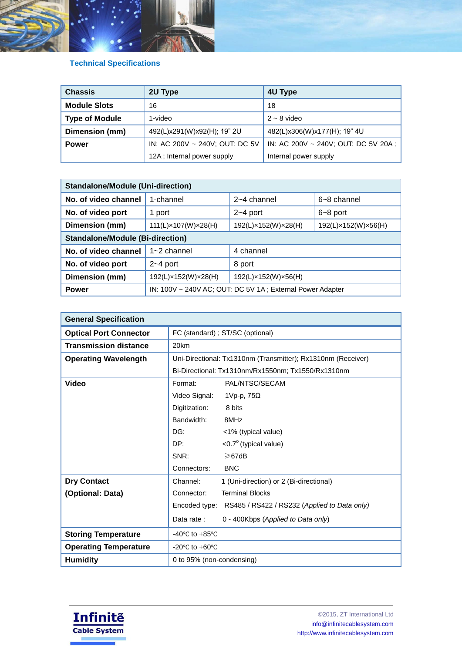

## **Technical Specifications**

| <b>Chassis</b>        | 2U Type                        | 4U Type                             |
|-----------------------|--------------------------------|-------------------------------------|
| <b>Module Slots</b>   | 16                             | 18                                  |
| <b>Type of Module</b> | 1-video                        | $2 \sim 8$ video                    |
| Dimension (mm)        | 492(L)x291(W)x92(H); 19" 2U    | 482(L)x306(W)x177(H); 19" 4U        |
| <b>Power</b>          | IN: AC 200V ~ 240V; OUT: DC 5V | IN: AC 200V ~ 240V; OUT: DC 5V 20A; |
|                       | 12A; Internal power supply     | Internal power supply               |

| <b>Standalone/Module (Uni-direction)</b> |                                                           |                     |                     |  |
|------------------------------------------|-----------------------------------------------------------|---------------------|---------------------|--|
| No. of video channel                     | 1-channel                                                 | 2~4 channel         | $6 - 8$ channel     |  |
| No. of video port                        | 1 port                                                    | $2 - 4$ port        | $6 - 8$ port        |  |
| Dimension (mm)                           | 111(L)×107(W)×28(H)                                       | 192(L)×152(W)×28(H) | 192(L)×152(W)×56(H) |  |
| <b>Standalone/Module (Bi-direction)</b>  |                                                           |                     |                     |  |
| No. of video channel                     | $1 - 2$ channel                                           | 4 channel           |                     |  |
| No. of video port                        | $2 - 4$ port                                              | 8 port              |                     |  |
| Dimension (mm)                           | 192(L)×152(W)×28(H)                                       | 192(L)×152(W)×56(H) |                     |  |
| <b>Power</b>                             | IN: 100V ~ 240V AC; OUT: DC 5V 1A; External Power Adapter |                     |                     |  |

| <b>General Specification</b>  |                                                              |                                                            |  |
|-------------------------------|--------------------------------------------------------------|------------------------------------------------------------|--|
| <b>Optical Port Connector</b> | FC (standard) ; ST/SC (optional)                             |                                                            |  |
| <b>Transmission distance</b>  | 20km                                                         |                                                            |  |
| <b>Operating Wavelength</b>   | Uni-Directional: Tx1310nm (Transmitter); Rx1310nm (Receiver) |                                                            |  |
|                               | Bi-Directional: Tx1310nm/Rx1550nm; Tx1550/Rx1310nm           |                                                            |  |
| <b>Video</b>                  | Format:                                                      | PAL/NTSC/SECAM                                             |  |
|                               | Video Signal:                                                | 1Vp-p, 75Ω                                                 |  |
|                               | Digitization:                                                | 8 bits                                                     |  |
|                               | Bandwidth:                                                   | 8MHz                                                       |  |
|                               | DG:                                                          | <1% (typical value)                                        |  |
|                               | DP:                                                          | $<$ 0.7 $^{\circ}$ (typical value)                         |  |
|                               | SNR:                                                         | $\geq 67$ dB                                               |  |
|                               | Connectors:                                                  | <b>BNC</b>                                                 |  |
| <b>Dry Contact</b>            | Channel:                                                     | 1 (Uni-direction) or 2 (Bi-directional)                    |  |
| (Optional: Data)              | Connector:                                                   | <b>Terminal Blocks</b>                                     |  |
|                               |                                                              | Encoded type: RS485 / RS422 / RS232 (Applied to Data only) |  |
|                               | Data rate:                                                   | 0 - 400Kbps (Applied to Data only)                         |  |
| <b>Storing Temperature</b>    | -40 $\degree$ C to +85 $\degree$ C                           |                                                            |  |
| <b>Operating Temperature</b>  | -20 $\mathrm{^{\circ}C}$ to +60 $\mathrm{^{\circ}C}$         |                                                            |  |
| <b>Humidity</b>               | 0 to 95% (non-condensing)                                    |                                                            |  |